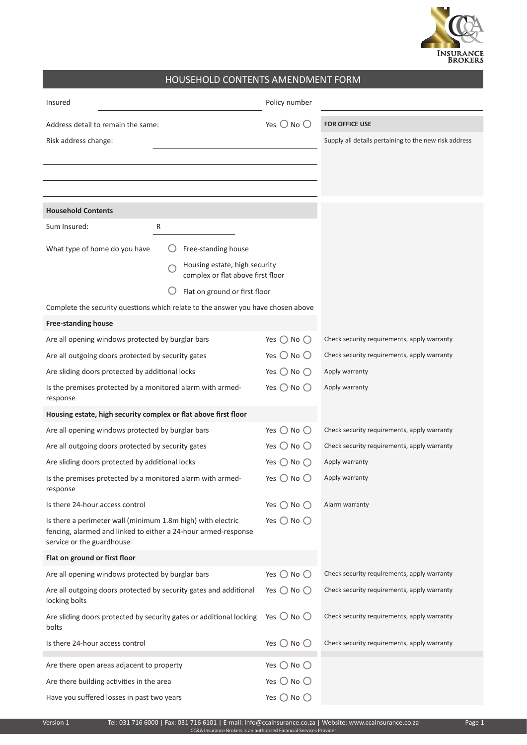

## HOUSEHOLD CONTENTS AMENDMENT FORM

| Insured                                                                                                                                                    |                                                                    | Policy number                |                                                       |  |  |  |
|------------------------------------------------------------------------------------------------------------------------------------------------------------|--------------------------------------------------------------------|------------------------------|-------------------------------------------------------|--|--|--|
| Address detail to remain the same:                                                                                                                         |                                                                    | Yes $\bigcirc$ No $\bigcirc$ | <b>FOR OFFICE USE</b>                                 |  |  |  |
| Risk address change:                                                                                                                                       |                                                                    |                              | Supply all details pertaining to the new risk address |  |  |  |
|                                                                                                                                                            |                                                                    |                              |                                                       |  |  |  |
|                                                                                                                                                            |                                                                    |                              |                                                       |  |  |  |
|                                                                                                                                                            |                                                                    |                              |                                                       |  |  |  |
| <b>Household Contents</b>                                                                                                                                  |                                                                    |                              |                                                       |  |  |  |
| Sum Insured:<br>R                                                                                                                                          |                                                                    |                              |                                                       |  |  |  |
| What type of home do you have                                                                                                                              | Free-standing house                                                |                              |                                                       |  |  |  |
|                                                                                                                                                            | Housing estate, high security<br>complex or flat above first floor |                              |                                                       |  |  |  |
|                                                                                                                                                            | Flat on ground or first floor                                      |                              |                                                       |  |  |  |
| Complete the security questions which relate to the answer you have chosen above                                                                           |                                                                    |                              |                                                       |  |  |  |
| <b>Free-standing house</b>                                                                                                                                 |                                                                    |                              |                                                       |  |  |  |
| Are all opening windows protected by burglar bars                                                                                                          |                                                                    | Yes $\bigcirc$ No $\bigcirc$ | Check security requirements, apply warranty           |  |  |  |
| Are all outgoing doors protected by security gates                                                                                                         |                                                                    | Yes $\bigcirc$ No $\bigcirc$ | Check security requirements, apply warranty           |  |  |  |
| Are sliding doors protected by additional locks                                                                                                            |                                                                    | Yes $\bigcirc$ No $\bigcirc$ | Apply warranty                                        |  |  |  |
| Is the premises protected by a monitored alarm with armed-<br>response                                                                                     |                                                                    | Yes $\bigcirc$ No $\bigcirc$ | Apply warranty                                        |  |  |  |
| Housing estate, high security complex or flat above first floor                                                                                            |                                                                    |                              |                                                       |  |  |  |
| Are all opening windows protected by burglar bars                                                                                                          |                                                                    | Yes $\bigcirc$ No $\bigcirc$ | Check security requirements, apply warranty           |  |  |  |
| Are all outgoing doors protected by security gates                                                                                                         |                                                                    | Yes $\bigcirc$ No $\bigcirc$ | Check security requirements, apply warranty           |  |  |  |
| Are sliding doors protected by additional locks                                                                                                            |                                                                    | Yes $\bigcirc$ No $\bigcirc$ | Apply warranty                                        |  |  |  |
| Is the premises protected by a monitored alarm with armed-<br>response                                                                                     |                                                                    | Yes $\bigcirc$ No $\bigcirc$ | Apply warranty                                        |  |  |  |
| Is there 24-hour access control                                                                                                                            |                                                                    | Yes $\bigcirc$ No $\bigcirc$ | Alarm warranty                                        |  |  |  |
| Is there a perimeter wall (minimum 1.8m high) with electric<br>fencing, alarmed and linked to either a 24-hour armed-response<br>service or the guardhouse |                                                                    | Yes $\bigcirc$ No $\bigcirc$ |                                                       |  |  |  |
| Flat on ground or first floor                                                                                                                              |                                                                    |                              |                                                       |  |  |  |
| Are all opening windows protected by burglar bars                                                                                                          |                                                                    | Yes $\bigcirc$ No $\bigcirc$ | Check security requirements, apply warranty           |  |  |  |
| Are all outgoing doors protected by security gates and additional<br>locking bolts                                                                         |                                                                    | Yes $\bigcirc$ No $\bigcirc$ | Check security requirements, apply warranty           |  |  |  |
| Are sliding doors protected by security gates or additional locking<br>bolts                                                                               |                                                                    | Yes $\bigcirc$ No $\bigcirc$ | Check security requirements, apply warranty           |  |  |  |
| Is there 24-hour access control                                                                                                                            |                                                                    | Yes $\bigcirc$ No $\bigcirc$ | Check security requirements, apply warranty           |  |  |  |
| Are there open areas adjacent to property                                                                                                                  |                                                                    | Yes $\bigcirc$ No $\bigcirc$ |                                                       |  |  |  |
| Are there building activities in the area                                                                                                                  |                                                                    | Yes $\bigcirc$ No $\bigcirc$ |                                                       |  |  |  |
| Have you suffered losses in past two years                                                                                                                 |                                                                    | Yes $\bigcirc$ No $\bigcirc$ |                                                       |  |  |  |